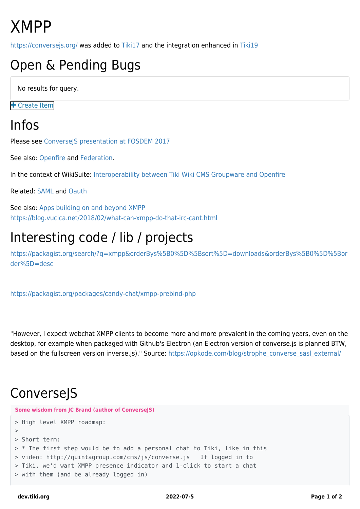# XMPP

<https://conversejs.org/> was added to [Tiki17](https://dev.tiki.org/Tiki17) and the integration enhanced in [Tiki19](https://dev.tiki.org/Tiki19)

## Open & Pending Bugs

No results for query.

**+** [Create Item](https://dev.tiki.org/Make+a+wish)

#### Infos

Please see [ConverseJS presentation at FOSDEM 2017](http://mirror.onet.pl/pub/mirrors/video.fosdem.org/2017/K.3.401/webchat.vp8.webm)

See also: [Openfire](https://dev.tiki.org/Openfire) and [Federation](https://dev.tiki.org/Federation).

In the context of WikiSuite: [Interoperability between Tiki Wiki CMS Groupware and Openfire](http://wikisuite.org/item41)

Related: [SAML](https://dev.tiki.org/SAML) and [Oauth](https://dev.tiki.org/OAuth)

See also: [Apps building on and beyond XMPP](https://dev.tiki.org/Apps-building-on-and-beyond-XMPP) <https://blog.vucica.net/2018/02/what-can-xmpp-do-that-irc-cant.html>

### Interesting code / lib / projects

[https://packagist.org/search/?q=xmpp&orderBys%5B0%5D%5Bsort%5D=downloads&orderBys%5B0%5D%5Bor](https://packagist.org/search/?q=xmpp&orderBys%5B0%5D%5Bsort%5D=downloads&orderBys%5B0%5D%5Border%5D=desc) [der%5D=desc](https://packagist.org/search/?q=xmpp&orderBys%5B0%5D%5Bsort%5D=downloads&orderBys%5B0%5D%5Border%5D=desc)

<https://packagist.org/packages/candy-chat/xmpp-prebind-php>

"However, I expect webchat XMPP clients to become more and more prevalent in the coming years, even on the desktop, for example when packaged with Github's Electron (an Electron version of converse.js is planned BTW, based on the fullscreen version inverse.js)." Source: [https://opkode.com/blog/strophe\\_converse\\_sasl\\_external/](https://opkode.com/blog/strophe_converse_sasl_external/)

#### ConverseJS

**Some wisdom from JC Brand (author of ConverseJS)**

```
> High level XMPP roadmap:
>
> Short term:
> * The first step would be to add a personal chat to Tiki, like in this
> video: http://quintagroup.com/cms/js/converse.js If logged in to
> Tiki, we'd want XMPP presence indicator and 1-click to start a chat
> with them (and be already logged in)
```